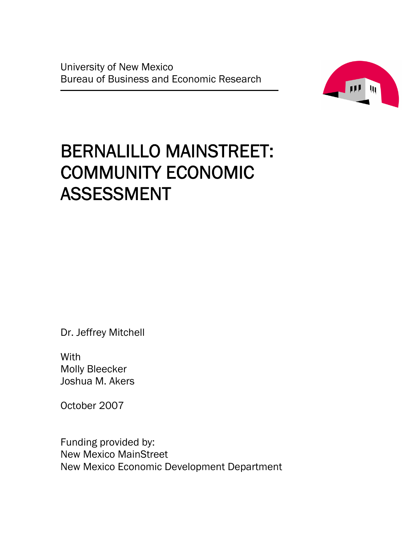University of New Mexico Bureau of Business and Economic Research



# BERNALILLO MAINSTREET: COMMUNITY ECONOMIC ASSESSMENT

Dr. Jeffrey Mitchell

**With** Molly Bleecker Joshua M. Akers

October 2007

Funding provided by: New Mexico MainStreet New Mexico Economic Development Department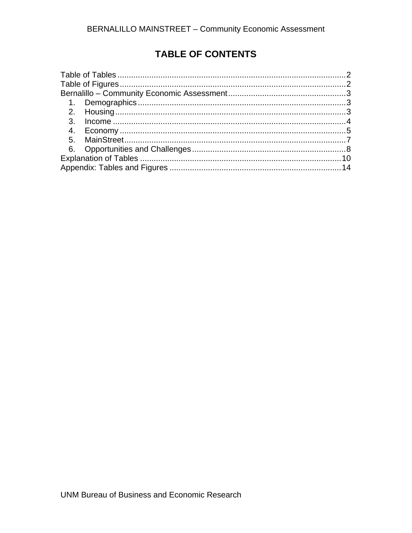# **TABLE OF CONTENTS**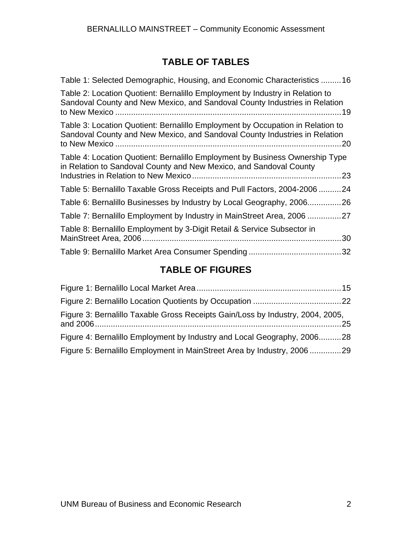## **TABLE OF TABLES**

<span id="page-3-0"></span>

| Table 1: Selected Demographic, Housing, and Economic Characteristics 16                                                                                             |
|---------------------------------------------------------------------------------------------------------------------------------------------------------------------|
| Table 2: Location Quotient: Bernalillo Employment by Industry in Relation to<br>Sandoval County and New Mexico, and Sandoval County Industries in Relation          |
| Table 3: Location Quotient: Bernalillo Employment by Occupation in Relation to<br>Sandoval County and New Mexico, and Sandoval County Industries in Relation<br>.20 |
| Table 4: Location Quotient: Bernalillo Employment by Business Ownership Type<br>in Relation to Sandoval County and New Mexico, and Sandoval County                  |
| Table 5: Bernalillo Taxable Gross Receipts and Pull Factors, 2004-200624                                                                                            |
| Table 6: Bernalillo Businesses by Industry by Local Geography, 2006<br>.26                                                                                          |
| Table 7: Bernalillo Employment by Industry in MainStreet Area, 2006 27                                                                                              |
| Table 8: Bernalillo Employment by 3-Digit Retail & Service Subsector in<br>.30                                                                                      |
|                                                                                                                                                                     |

# **TABLE OF FIGURES**

| Figure 3: Bernalillo Taxable Gross Receipts Gain/Loss by Industry, 2004, 2005, |  |
|--------------------------------------------------------------------------------|--|
| Figure 4: Bernalillo Employment by Industry and Local Geography, 200628        |  |
| Figure 5: Bernalillo Employment in MainStreet Area by Industry, 2006 29        |  |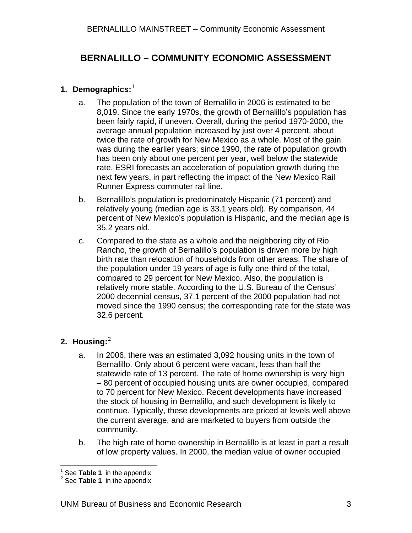## <span id="page-4-0"></span>**BERNALILLO – COMMUNITY ECONOMIC ASSESSMENT**

#### **1. Demographics:** [1](#page-4-1)

- a. The population of the town of Bernalillo in 2006 is estimated to be 8,019. Since the early 1970s, the growth of Bernalillo's population has been fairly rapid, if uneven. Overall, during the period 1970-2000, the average annual population increased by just over 4 percent, about twice the rate of growth for New Mexico as a whole. Most of the gain was during the earlier years; since 1990, the rate of population growth has been only about one percent per year, well below the statewide rate. ESRI forecasts an acceleration of population growth during the next few years, in part reflecting the impact of the New Mexico Rail Runner Express commuter rail line.
- b. Bernalillo's population is predominately Hispanic (71 percent) and relatively young (median age is 33.1 years old). By comparison, 44 percent of New Mexico's population is Hispanic, and the median age is 35.2 years old.
- c. Compared to the state as a whole and the neighboring city of Rio Rancho, the growth of Bernalillo's population is driven more by high birth rate than relocation of households from other areas. The share of the population under 19 years of age is fully one-third of the total, compared to 29 percent for New Mexico. Also, the population is relatively more stable. According to the U.S. Bureau of the Census' 2000 decennial census, 37.1 percent of the 2000 population had not moved since the 1990 census; the corresponding rate for the state was 32.6 percent.

## **2. Housing:** [2](#page-4-2)

- a. In 2006, there was an estimated 3,092 housing units in the town of Bernalillo. Only about 6 percent were vacant, less than half the statewide rate of 13 percent. The rate of home ownership is very high – 80 percent of occupied housing units are owner occupied, compared to 70 percent for New Mexico. Recent developments have increased the stock of housing in Bernalillo, and such development is likely to continue. Typically, these developments are priced at levels well above the current average, and are marketed to buyers from outside the community.
- b. The high rate of home ownership in Bernalillo is at least in part a result of low property values. In 2000, the median value of owner occupied

<sup>&</sup>lt;sup>1</sup> See **Table 1** in the appendix <sup>2</sup><br><sup>2</sup> See **Table 1** in the appendix

<span id="page-4-2"></span><span id="page-4-1"></span><sup>&</sup>lt;sup>2</sup> See **Table 1** in the appendix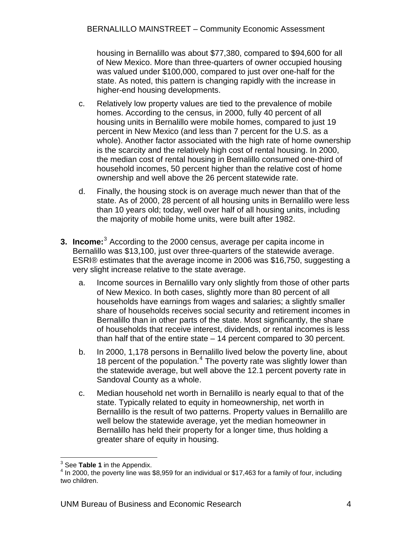<span id="page-5-0"></span>housing in Bernalillo was about \$77,380, compared to \$94,600 for all of New Mexico. More than three-quarters of owner occupied housing was valued under \$100,000, compared to just over one-half for the state. As noted, this pattern is changing rapidly with the increase in higher-end housing developments.

- c. Relatively low property values are tied to the prevalence of mobile homes. According to the census, in 2000, fully 40 percent of all housing units in Bernalillo were mobile homes, compared to just 19 percent in New Mexico (and less than 7 percent for the U.S. as a whole). Another factor associated with the high rate of home ownership is the scarcity and the relatively high cost of rental housing. In 2000, the median cost of rental housing in Bernalillo consumed one-third of household incomes, 50 percent higher than the relative cost of home ownership and well above the 26 percent statewide rate.
- d. Finally, the housing stock is on average much newer than that of the state. As of 2000, 28 percent of all housing units in Bernalillo were less than 10 years old; today, well over half of all housing units, including the majority of mobile home units, were built after 1982.
- **[3](#page-5-1). Income:**<sup>3</sup> According to the 2000 census, average per capita income in Bernalillo was \$13,100, just over three-quarters of the statewide average. ESRI® estimates that the average income in 2006 was \$16,750, suggesting a very slight increase relative to the state average.
	- a. Income sources in Bernalillo vary only slightly from those of other parts of New Mexico. In both cases, slightly more than 80 percent of all households have earnings from wages and salaries; a slightly smaller share of households receives social security and retirement incomes in Bernalillo than in other parts of the state. Most significantly, the share of households that receive interest, dividends, or rental incomes is less than half that of the entire state – 14 percent compared to 30 percent.
	- b. In 2000, 1,178 persons in Bernalillo lived below the poverty line, about 18 percent of the population.<sup>[4](#page-5-2)</sup> The poverty rate was slightly lower than the statewide average, but well above the 12.1 percent poverty rate in Sandoval County as a whole.
	- c. Median household net worth in Bernalillo is nearly equal to that of the state. Typically related to equity in homeownership, net worth in Bernalillo is the result of two patterns. Property values in Bernalillo are well below the statewide average, yet the median homeowner in Bernalillo has held their property for a longer time, thus holding a greater share of equity in housing.

 $\overline{a}$  $3$  See Table 1 in the Appendix.

<span id="page-5-2"></span><span id="page-5-1"></span><sup>&</sup>lt;sup>3</sup> See **Table 1** in the Appendix.<br><sup>4</sup> In 2000, the poverty line was \$8,959 for an individual or \$17,463 for a family of four, including two children.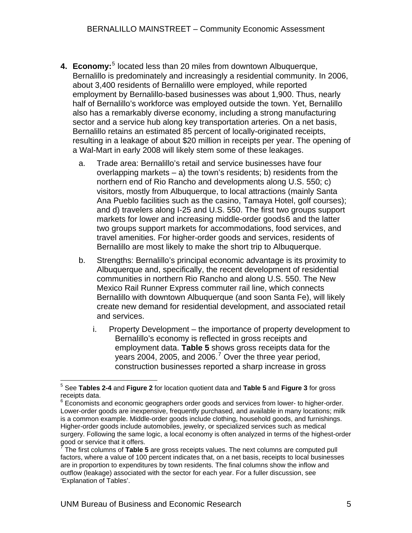- <span id="page-6-0"></span>4. Economy:<sup>[5](#page-6-1)</sup> located less than 20 miles from downtown Albuquerque, Bernalillo is predominately and increasingly a residential community. In 2006, about 3,400 residents of Bernalillo were employed, while reported employment by Bernalillo-based businesses was about 1,900. Thus, nearly half of Bernalillo's workforce was employed outside the town. Yet, Bernalillo also has a remarkably diverse economy, including a strong manufacturing sector and a service hub along key transportation arteries. On a net basis, Bernalillo retains an estimated 85 percent of locally-originated receipts, resulting in a leakage of about \$20 million in receipts per year. The opening of a Wal-Mart in early 2008 will likely stem some of these leakages.
	- a. Trade area: Bernalillo's retail and service businesses have four overlapping markets  $-$  a) the town's residents; b) residents from the northern end of Rio Rancho and developments along U.S. 550; c) visitors, mostly from Albuquerque, to local attractions (mainly Santa Ana Pueblo facilities such as the casino, Tamaya Hotel, golf courses); and d) travelers along I-25 and U.S. 550. The first two groups support markets for lower and increasing middle-order goods[6](#page-6-2) and the latter two groups support markets for accommodations, food services, and travel amenities. For higher-order goods and services, residents of Bernalillo are most likely to make the short trip to Albuquerque.
	- b. Strengths: Bernalillo's principal economic advantage is its proximity to Albuquerque and, specifically, the recent development of residential communities in northern Rio Rancho and along U.S. 550. The New Mexico Rail Runner Express commuter rail line, which connects Bernalillo with downtown Albuquerque (and soon Santa Fe), will likely create new demand for residential development, and associated retail and services.
		- i. Property Development the importance of property development to Bernalillo's economy is reflected in gross receipts and employment data. **Table 5** shows gross receipts data for the years 2004, 2005, and 2006.<sup>[7](#page-6-3)</sup> Over the three year period, construction businesses reported a sharp increase in gross

<span id="page-6-1"></span> 5 See **Tables 2-4** and **Figure 2** for location quotient data and **Table 5** and **Figure 3** for gross receipts data.

<span id="page-6-2"></span><sup>&</sup>lt;sup>6</sup> Economists and economic geographers order goods and services from lower- to higher-order. Lower-order goods are inexpensive, frequently purchased, and available in many locations; milk is a common example. Middle-order goods include clothing, household goods, and furnishings. Higher-order goods include automobiles, jewelry, or specialized services such as medical surgery. Following the same logic, a local economy is often analyzed in terms of the highest-order good or service that it offers.

<span id="page-6-3"></span><sup>7</sup> The first columns of **Table 5** are gross receipts values. The next columns are computed pull factors, where a value of 100 percent indicates that, on a net basis, receipts to local businesses are in proportion to expenditures by town residents. The final columns show the inflow and outflow (leakage) associated with the sector for each year. For a fuller discussion, see 'Explanation of Tables'.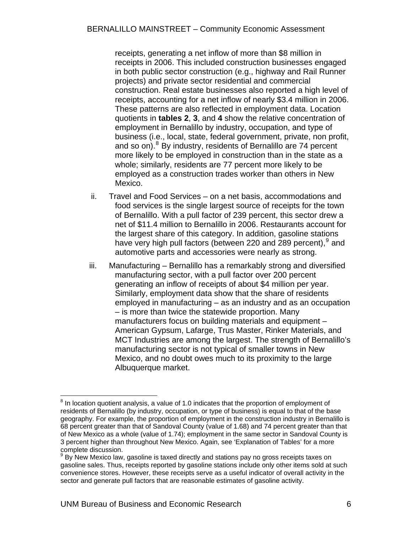receipts, generating a net inflow of more than \$8 million in receipts in 2006. This included construction businesses engaged in both public sector construction (e.g., highway and Rail Runner projects) and private sector residential and commercial construction. Real estate businesses also reported a high level of receipts, accounting for a net inflow of nearly \$3.4 million in 2006. These patterns are also reflected in employment data. Location quotients in **tables 2**, **3**, and **4** show the relative concentration of employment in Bernalillo by industry, occupation, and type of business (i.e., local, state, federal government, private, non profit, and so on). <sup>[8](#page-7-0)</sup> By industry, residents of Bernalillo are 74 percent more likely to be employed in construction than in the state as a whole; similarly, residents are 77 percent more likely to be employed as a construction trades worker than others in New Mexico.

- ii. Travel and Food Services on a net basis, accommodations and food services is the single largest source of receipts for the town of Bernalillo. With a pull factor of 239 percent, this sector drew a net of \$11.4 million to Bernalillo in 2006. Restaurants account for the largest share of this category. In addition, gasoline stations have very high pull factors (between 220 and 28[9](#page-7-1) percent), <sup>9</sup> and automotive parts and accessories were nearly as strong.
- iii. Manufacturing Bernalillo has a remarkably strong and diversified manufacturing sector, with a pull factor over 200 percent generating an inflow of receipts of about \$4 million per year. Similarly, employment data show that the share of residents employed in manufacturing – as an industry and as an occupation – is more than twice the statewide proportion. Many manufacturers focus on building materials and equipment – American Gypsum, Lafarge, Trus Master, Rinker Materials, and MCT Industries are among the largest. The strength of Bernalillo's manufacturing sector is not typical of smaller towns in New Mexico, and no doubt owes much to its proximity to the large Albuquerque market.

<span id="page-7-0"></span> $\overline{a}$  $8$  In location quotient analysis, a value of 1.0 indicates that the proportion of employment of residents of Bernalillo (by industry, occupation, or type of business) is equal to that of the base geography. For example, the proportion of employment in the construction industry in Bernalillo is 68 percent greater than that of Sandoval County (value of 1.68) and 74 percent greater than that of New Mexico as a whole (value of 1.74); employment in the same sector in Sandoval County is 3 percent higher than throughout New Mexico. Again, see 'Explanation of Tables' for a more complete discussion. 9

<span id="page-7-1"></span>By New Mexico law, gasoline is taxed directly and stations pay no gross receipts taxes on gasoline sales. Thus, receipts reported by gasoline stations include only other items sold at such convenience stores. However, these receipts serve as a useful indicator of overall activity in the sector and generate pull factors that are reasonable estimates of gasoline activity.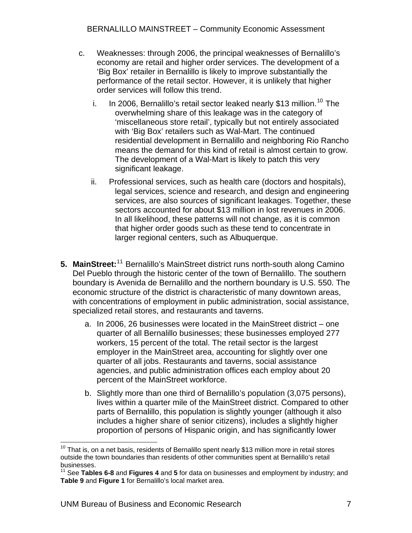- <span id="page-8-0"></span>c. Weaknesses: through 2006, the principal weaknesses of Bernalillo's economy are retail and higher order services. The development of a 'Big Box' retailer in Bernalillo is likely to improve substantially the performance of the retail sector. However, it is unlikely that higher order services will follow this trend.
	- i. In 2006, Bernalillo's retail sector leaked nearly \$13 million.<sup>[10](#page-8-0)</sup> The overwhelming share of this leakage was in the category of 'miscellaneous store retail', typically but not entirely associated with 'Big Box' retailers such as Wal-Mart. The continued residential development in Bernalillo and neighboring Rio Rancho means the demand for this kind of retail is almost certain to grow. The development of a Wal-Mart is likely to patch this very significant leakage.
	- ii. Professional services, such as health care (doctors and hospitals), legal services, science and research, and design and engineering services, are also sources of significant leakages. Together, these sectors accounted for about \$13 million in lost revenues in 2006. In all likelihood, these patterns will not change, as it is common that higher order goods such as these tend to concentrate in larger regional centers, such as Albuquerque.
- 5. MainStreet:<sup>[11](#page-8-0)</sup> Bernalillo's MainStreet district runs north-south along Camino Del Pueblo through the historic center of the town of Bernalillo. The southern boundary is Avenida de Bernalillo and the northern boundary is U.S. 550. The economic structure of the district is characteristic of many downtown areas, with concentrations of employment in public administration, social assistance, specialized retail stores, and restaurants and taverns.
	- a. In 2006, 26 businesses were located in the MainStreet district one quarter of all Bernalillo businesses; these businesses employed 277 workers, 15 percent of the total. The retail sector is the largest employer in the MainStreet area, accounting for slightly over one quarter of all jobs. Restaurants and taverns, social assistance agencies, and public administration offices each employ about 20 percent of the MainStreet workforce.
	- b. Slightly more than one third of Bernalillo's population (3,075 persons), lives within a quarter mile of the MainStreet district. Compared to other parts of Bernalillo, this population is slightly younger (although it also includes a higher share of senior citizens), includes a slightly higher proportion of persons of Hispanic origin, and has significantly lower

 $\overline{a}$  $10$  That is, on a net basis, residents of Bernalillo spent nearly \$13 million more in retail stores outside the town boundaries than residents of other communities spent at Bernalillo's retail businesses.

<sup>11</sup> See **Tables 6-8** and **Figures 4** and **5** for data on businesses and employment by industry; and **Table 9** and **Figure 1** for Bernalillo's local market area.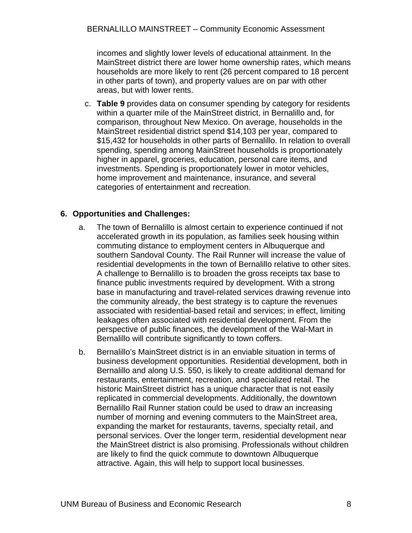<span id="page-9-0"></span>incomes and slightly lower levels of educational attainment. In the MainStreet district there are lower home ownership rates, which means households are more likely to rent (26 percent compared to 18 percent in other parts of town), and property values are on par with other areas, but with lower rents.

c. **Table 9** provides data on consumer spending by category for residents within a quarter mile of the MainStreet district, in Bernalillo and, for comparison, throughout New Mexico. On average, households in the MainStreet residential district spend \$14,103 per year, compared to \$15,432 for households in other parts of Bernalillo. In relation to overall spending, spending among MainStreet households is proportionately higher in apparel, groceries, education, personal care items, and investments. Spending is proportionately lower in motor vehicles, home improvement and maintenance, insurance, and several categories of entertainment and recreation.

#### **6. Opportunities and Challenges:**

- a. The town of Bernalillo is almost certain to experience continued if not accelerated growth in its population, as families seek housing within commuting distance to employment centers in Albuquerque and southern Sandoval County. The Rail Runner will increase the value of residential developments in the town of Bernalillo relative to other sites. A challenge to Bernalillo is to broaden the gross receipts tax base to finance public investments required by development. With a strong base in manufacturing and travel-related services drawing revenue into the community already, the best strategy is to capture the revenues associated with residential-based retail and services; in effect, limiting leakages often associated with residential development. From the perspective of public finances, the development of the Wal-Mart in Bernalillo will contribute significantly to town coffers.
- b. Bernalillo's MainStreet district is in an enviable situation in terms of business development opportunities. Residential development, both in Bernalillo and along U.S. 550, is likely to create additional demand for restaurants, entertainment, recreation, and specialized retail. The historic MainStreet district has a unique character that is not easily replicated in commercial developments. Additionally, the downtown Bernalillo Rail Runner station could be used to draw an increasing number of morning and evening commuters to the MainStreet area, expanding the market for restaurants, taverns, specialty retail, and personal services. Over the longer term, residential development near the MainStreet district is also promising. Professionals without children are likely to find the quick commute to downtown Albuquerque attractive. Again, this will help to support local businesses.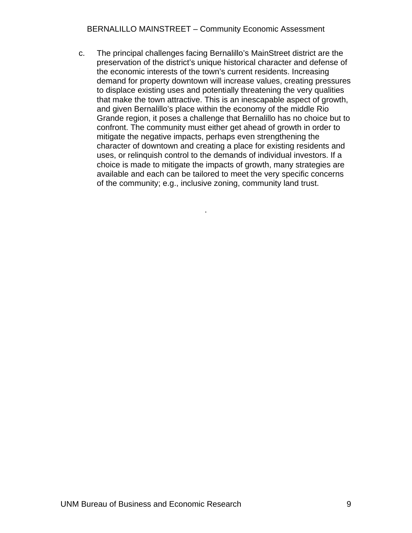c. The principal challenges facing Bernalillo's MainStreet district are the preservation of the district's unique historical character and defense of the economic interests of the town's current residents. Increasing demand for property downtown will increase values, creating pressures to displace existing uses and potentially threatening the very qualities that make the town attractive. This is an inescapable aspect of growth, and given Bernalillo's place within the economy of the middle Rio Grande region, it poses a challenge that Bernalillo has no choice but to confront. The community must either get ahead of growth in order to mitigate the negative impacts, perhaps even strengthening the character of downtown and creating a place for existing residents and uses, or relinquish control to the demands of individual investors. If a choice is made to mitigate the impacts of growth, many strategies are available and each can be tailored to meet the very specific concerns of the community; e.g., inclusive zoning, community land trust.

.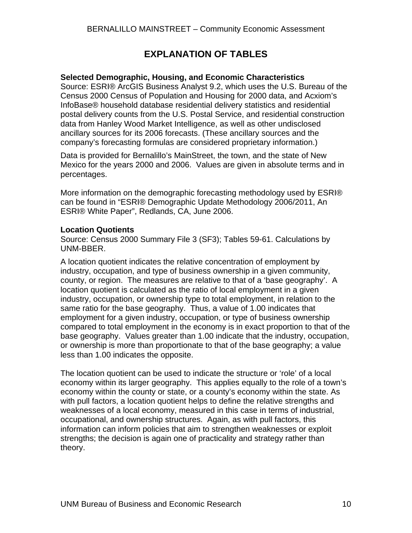## **EXPLANATION OF TABLES**

#### <span id="page-11-0"></span>**Selected Demographic, Housing, and Economic Characteristics**

Source: ESRI® ArcGIS Business Analyst 9.2, which uses the U.S. Bureau of the Census 2000 Census of Population and Housing for 2000 data, and Acxiom's InfoBase® household database residential delivery statistics and residential postal delivery counts from the U.S. Postal Service, and residential construction data from Hanley Wood Market Intelligence, as well as other undisclosed ancillary sources for its 2006 forecasts. (These ancillary sources and the company's forecasting formulas are considered proprietary information.)

Data is provided for Bernalillo's MainStreet, the town, and the state of New Mexico for the years 2000 and 2006. Values are given in absolute terms and in percentages.

More information on the demographic forecasting methodology used by ESRI® can be found in "ESRI® Demographic Update Methodology 2006/2011, An ESRI® White Paper", Redlands, CA, June 2006.

#### **Location Quotients**

Source: Census 2000 Summary File 3 (SF3); Tables 59-61. Calculations by UNM-BBER.

A location quotient indicates the relative concentration of employment by industry, occupation, and type of business ownership in a given community, county, or region. The measures are relative to that of a 'base geography'. A location quotient is calculated as the ratio of local employment in a given industry, occupation, or ownership type to total employment, in relation to the same ratio for the base geography. Thus, a value of 1.00 indicates that employment for a given industry, occupation, or type of business ownership compared to total employment in the economy is in exact proportion to that of the base geography. Values greater than 1.00 indicate that the industry, occupation, or ownership is more than proportionate to that of the base geography; a value less than 1.00 indicates the opposite.

The location quotient can be used to indicate the structure or 'role' of a local economy within its larger geography. This applies equally to the role of a town's economy within the county or state, or a county's economy within the state. As with pull factors, a location quotient helps to define the relative strengths and weaknesses of a local economy, measured in this case in terms of industrial, occupational, and ownership structures. Again, as with pull factors, this information can inform policies that aim to strengthen weaknesses or exploit strengths; the decision is again one of practicality and strategy rather than theory.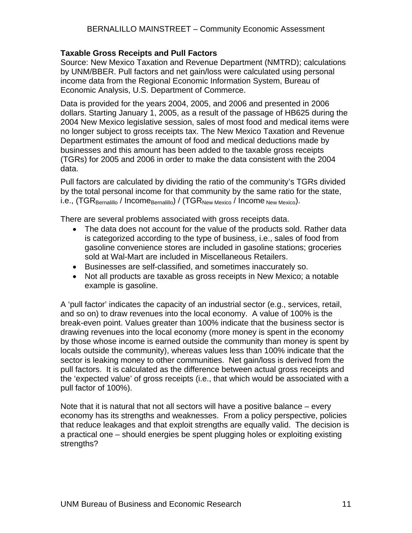#### **Taxable Gross Receipts and Pull Factors**

Source: New Mexico Taxation and Revenue Department (NMTRD); calculations by UNM/BBER. Pull factors and net gain/loss were calculated using personal income data from the Regional Economic Information System, Bureau of Economic Analysis, U.S. Department of Commerce.

Data is provided for the years 2004, 2005, and 2006 and presented in 2006 dollars. Starting January 1, 2005, as a result of the passage of HB625 during the 2004 New Mexico legislative session, sales of most food and medical items were no longer subject to gross receipts tax. The New Mexico Taxation and Revenue Department estimates the amount of food and medical deductions made by businesses and this amount has been added to the taxable gross receipts (TGRs) for 2005 and 2006 in order to make the data consistent with the 2004 data.

Pull factors are calculated by dividing the ratio of the community's TGRs divided by the total personal income for that community by the same ratio for the state, i.e., (TGR<sub>Bernalillo</sub> / Income<sub>Bernalillo</sub>) / (TGR<sub>New Mexico</sub> / Income <sub>New Mexico</sub>).

There are several problems associated with gross receipts data.

- The data does not account for the value of the products sold. Rather data is categorized according to the type of business, i.e., sales of food from gasoline convenience stores are included in gasoline stations; groceries sold at Wal-Mart are included in Miscellaneous Retailers.
- Businesses are self-classified, and sometimes inaccurately so.
- Not all products are taxable as gross receipts in New Mexico; a notable example is gasoline.

A 'pull factor' indicates the capacity of an industrial sector (e.g., services, retail, and so on) to draw revenues into the local economy. A value of 100% is the break-even point. Values greater than 100% indicate that the business sector is drawing revenues into the local economy (more money is spent in the economy by those whose income is earned outside the community than money is spent by locals outside the community), whereas values less than 100% indicate that the sector is leaking money to other communities. Net gain/loss is derived from the pull factors. It is calculated as the difference between actual gross receipts and the 'expected value' of gross receipts (i.e., that which would be associated with a pull factor of 100%).

Note that it is natural that not all sectors will have a positive balance – every economy has its strengths and weaknesses. From a policy perspective, policies that reduce leakages and that exploit strengths are equally valid. The decision is a practical one – should energies be spent plugging holes or exploiting existing strengths?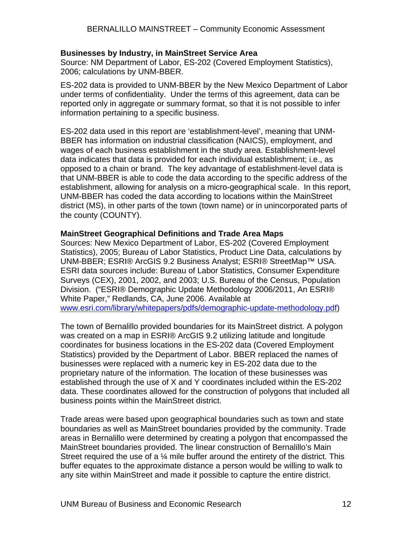#### **Businesses by Industry, in MainStreet Service Area**

Source: NM Department of Labor, ES-202 (Covered Employment Statistics), 2006; calculations by UNM-BBER.

ES-202 data is provided to UNM-BBER by the New Mexico Department of Labor under terms of confidentiality. Under the terms of this agreement, data can be reported only in aggregate or summary format, so that it is not possible to infer information pertaining to a specific business.

ES-202 data used in this report are 'establishment-level', meaning that UNM-BBER has information on industrial classification (NAICS), employment, and wages of each business establishment in the study area. Establishment-level data indicates that data is provided for each individual establishment; i.e., as opposed to a chain or brand. The key advantage of establishment-level data is that UNM-BBER is able to code the data according to the specific address of the establishment, allowing for analysis on a micro-geographical scale. In this report, UNM-BBER has coded the data according to locations within the MainStreet district (MS), in other parts of the town (town name) or in unincorporated parts of the county (COUNTY).

#### **MainStreet Geographical Definitions and Trade Area Maps**

Sources: New Mexico Department of Labor, ES-202 (Covered Employment Statistics), 2005; Bureau of Labor Statistics, Product Line Data, calculations by UNM-BBER; ESRI® ArcGIS 9.2 Business Analyst; ESRI® StreetMap™ USA. ESRI data sources include: Bureau of Labor Statistics, Consumer Expenditure Surveys (CEX), 2001, 2002, and 2003; U.S. Bureau of the Census, Population Division. ("ESRI® Demographic Update Methodology 2006/2011, An ESRI® White Paper," Redlands, CA, June 2006. Available at [www.esri.com/library/whitepapers/pdfs/demographic-update-methodology.pdf\)](http://www.esri.com/library/whitepapers/pdfs/demographic-update-methodology.pdf)

The town of Bernalillo provided boundaries for its MainStreet district. A polygon was created on a map in ESRI® ArcGIS 9.2 utilizing latitude and longitude coordinates for business locations in the ES-202 data (Covered Employment Statistics) provided by the Department of Labor. BBER replaced the names of businesses were replaced with a numeric key in ES-202 data due to the proprietary nature of the information. The location of these businesses was established through the use of X and Y coordinates included within the ES-202 data. These coordinates allowed for the construction of polygons that included all business points within the MainStreet district.

Trade areas were based upon geographical boundaries such as town and state boundaries as well as MainStreet boundaries provided by the community. Trade areas in Bernalillo were determined by creating a polygon that encompassed the MainStreet boundaries provided. The linear construction of Bernalillo's Main Street required the use of a  $\frac{1}{4}$  mile buffer around the entirety of the district. This buffer equates to the approximate distance a person would be willing to walk to any site within MainStreet and made it possible to capture the entire district.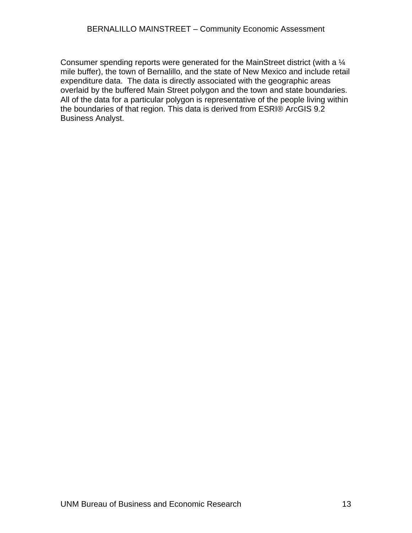Consumer spending reports were generated for the MainStreet district (with a ¼ mile buffer), the town of Bernalillo, and the state of New Mexico and include retail expenditure data. The data is directly associated with the geographic areas overlaid by the buffered Main Street polygon and the town and state boundaries. All of the data for a particular polygon is representative of the people living within the boundaries of that region. This data is derived from ESRI® ArcGIS 9.2 Business Analyst.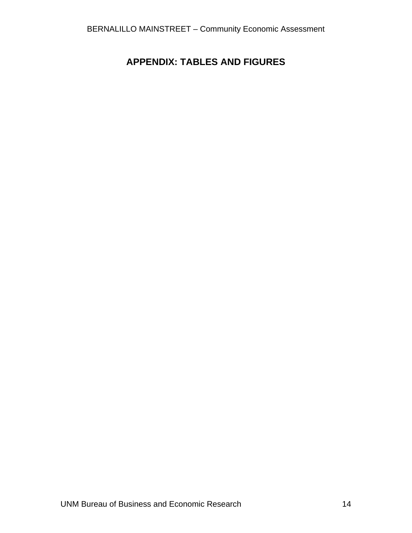# <span id="page-15-0"></span>**APPENDIX: TABLES AND FIGURES**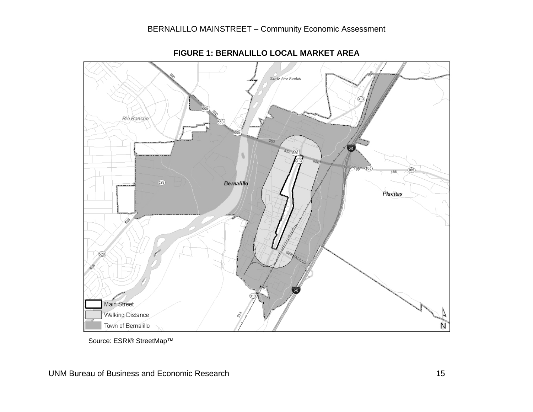

**FIGURE 1: BERNALILLO LOCAL MARKET AREA** 

<span id="page-16-0"></span>Source: ESRI® StreetMap™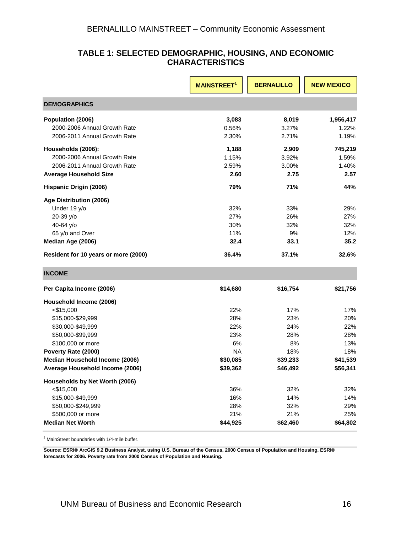#### **TABLE 1: SELECTED DEMOGRAPHIC, HOUSING, AND ECONOMIC CHARACTERISTICS**

<span id="page-17-0"></span>

|                                      | <b>MAINSTREET<sup>1</sup></b> | <b>BERNALILLO</b> | <b>NEW MEXICO</b> |
|--------------------------------------|-------------------------------|-------------------|-------------------|
| <b>DEMOGRAPHICS</b>                  |                               |                   |                   |
| Population (2006)                    | 3,083                         | 8,019             | 1,956,417         |
| 2000-2006 Annual Growth Rate         | 0.56%                         | 3.27%             | 1.22%             |
| 2006-2011 Annual Growth Rate         | 2.30%                         | 2.71%             | 1.19%             |
| Households (2006):                   | 1,188                         | 2,909             | 745,219           |
| 2000-2006 Annual Growth Rate         | 1.15%                         | 3.92%             | 1.59%             |
| 2006-2011 Annual Growth Rate         | 2.59%                         | 3.00%             | 1.40%             |
| <b>Average Household Size</b>        | 2.60                          | 2.75              | 2.57              |
| Hispanic Origin (2006)               | 79%                           | 71%               | 44%               |
| Age Distribution (2006)              |                               |                   |                   |
| Under 19 y/o                         | 32%                           | 33%               | 29%               |
| 20-39 y/o                            | 27%                           | 26%               | 27%               |
| 40-64 y/o                            | 30%                           | 32%               | 32%               |
| 65 y/o and Over                      | 11%                           | 9%                | 12%               |
| Median Age (2006)                    | 32.4                          | 33.1              | 35.2              |
| Resident for 10 years or more (2000) | 36.4%                         | 37.1%             | 32.6%             |
| <b>INCOME</b>                        |                               |                   |                   |
| Per Capita Income (2006)             | \$14,680                      | \$16,754          | \$21,756          |
| Household Income (2006)              |                               |                   |                   |
| $<$ \$15,000                         | 22%                           | 17%               | 17%               |
| \$15,000-\$29,999                    | 28%                           | 23%               | 20%               |
| \$30,000-\$49,999                    | 22%                           | 24%               | 22%               |
| \$50,000-\$99,999                    | 23%                           | 28%               | 28%               |
| \$100,000 or more                    | 6%                            | 8%                | 13%               |
| Poverty Rate (2000)                  | <b>NA</b>                     | 18%               | 18%               |
| Median Household Income (2006)       | \$30,085                      | \$39,233          | \$41,539          |
| Average Household Income (2006)      | \$39,362                      | \$46,492          | \$56,341          |
| Households by Net Worth (2006)       |                               |                   |                   |
| $<$ \$15,000                         | 36%                           | 32%               | 32%               |
| \$15,000-\$49,999                    | 16%                           | 14%               | 14%               |
| \$50,000-\$249,999                   | 28%                           | 32%               | 29%               |
| \$500,000 or more                    | 21%                           | 21%               | 25%               |
| <b>Median Net Worth</b>              | \$44,925                      | \$62,460          | \$64,802          |

<sup>1</sup> MainStreet boundaries with 1/4-mile buffer.

**Source: ESRI® ArcGIS 9.2 Business Analyst, using U.S. Bureau of the Census, 2000 Census of Population and Housing. ESRI® forecasts for 2006. Poverty rate from 2000 Census of Population and Housing.**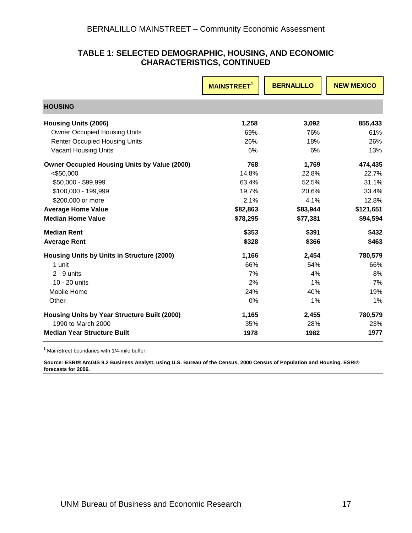#### **TABLE 1: SELECTED DEMOGRAPHIC, HOUSING, AND ECONOMIC CHARACTERISTICS, CONTINUED**

|                                                     | <b>MAINSTREET</b> | <b>BERNALILLO</b> | <b>NEW MEXICO</b> |
|-----------------------------------------------------|-------------------|-------------------|-------------------|
| <b>HOUSING</b>                                      |                   |                   |                   |
| <b>Housing Units (2006)</b>                         | 1,258             | 3,092             | 855,433           |
| <b>Owner Occupied Housing Units</b>                 | 69%               | 76%               | 61%               |
| <b>Renter Occupied Housing Units</b>                | 26%               | 18%               | 26%               |
| <b>Vacant Housing Units</b>                         | 6%                | 6%                | 13%               |
| <b>Owner Occupied Housing Units by Value (2000)</b> | 768               | 1,769             | 474,435           |
| $<$ \$50,000                                        | 14.8%             | 22.8%             | 22.7%             |
| \$50,000 - \$99,999                                 | 63.4%             | 52.5%             | 31.1%             |
| \$100,000 - 199,999                                 | 19.7%             | 20.6%             | 33.4%             |
| \$200,000 or more                                   | 2.1%              | 4.1%              | 12.8%             |
| <b>Average Home Value</b>                           | \$82,863          | \$83,944          | \$121,651         |
| <b>Median Home Value</b>                            | \$78,295          | \$77,381          | \$94,594          |
| <b>Median Rent</b>                                  | \$353             | \$391             | \$432             |
| <b>Average Rent</b>                                 | \$328             | \$366             | \$463             |
| Housing Units by Units in Structure (2000)          | 1,166             | 2,454             | 780,579           |
| 1 unit                                              | 66%               | 54%               | 66%               |
| $2 - 9$ units                                       | 7%                | 4%                | 8%                |
| 10 - 20 units                                       | 2%                | 1%                | 7%                |
| Mobile Home                                         | 24%               | 40%               | 19%               |
| Other                                               | 0%                | 1%                | 1%                |
| Housing Units by Year Structure Built (2000)        | 1,165             | 2,455             | 780,579           |
| 1990 to March 2000                                  | 35%               | 28%               | 23%               |
| <b>Median Year Structure Built</b>                  | 1978              | 1982              | 1977              |

<sup>1</sup> MainStreet boundaries with 1/4-mile buffer.

**Source: ESRI® ArcGIS 9.2 Business Analyst, using U.S. Bureau of the Census, 2000 Census of Population and Housing. ESRI® forecasts for 2006.**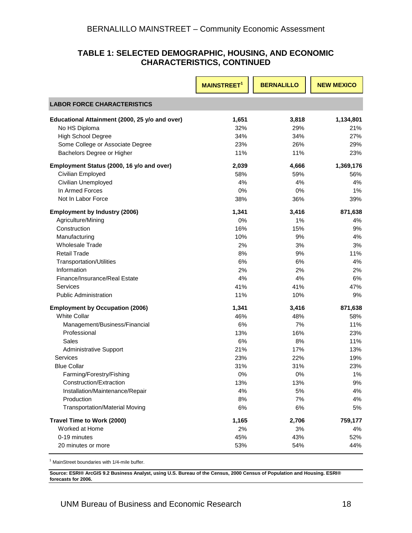#### **TABLE 1: SELECTED DEMOGRAPHIC, HOUSING, AND ECONOMIC CHARACTERISTICS, CONTINUED**

|                                                | <b>MAINSTREET<sup>1</sup></b> | <b>BERNALILLO</b> | <b>NEW MEXICO</b> |
|------------------------------------------------|-------------------------------|-------------------|-------------------|
| <b>LABOR FORCE CHARACTERISTICS</b>             |                               |                   |                   |
| Educational Attainment (2000, 25 y/o and over) | 1,651                         | 3,818             | 1,134,801         |
| No HS Diploma                                  | 32%                           | 29%               | 21%               |
| <b>High School Degree</b>                      | 34%                           | 34%               | 27%               |
| Some College or Associate Degree               | 23%                           | 26%               | 29%               |
| Bachelors Degree or Higher                     | 11%                           | 11%               | 23%               |
| Employment Status (2000, 16 y/o and over)      | 2,039                         | 4,666             | 1,369,176         |
| Civilian Employed                              | 58%                           | 59%               | 56%               |
| Civilian Unemployed                            | 4%                            | 4%                | 4%                |
| In Armed Forces                                | 0%                            | 0%                | 1%                |
| Not In Labor Force                             | 38%                           | 36%               | 39%               |
| <b>Employment by Industry (2006)</b>           | 1,341                         | 3,416             | 871,638           |
| Agriculture/Mining                             | 0%                            | 1%                | 4%                |
| Construction                                   | 16%                           | 15%               | 9%                |
| Manufacturing                                  | 10%                           | 9%                | 4%                |
| <b>Wholesale Trade</b>                         | 2%                            | 3%                | 3%                |
| <b>Retail Trade</b>                            | 8%                            | 9%                | 11%               |
| Transportation/Utilities                       | 6%                            | 6%                | 4%                |
| Information                                    | 2%                            | 2%                | 2%                |
| Finance/Insurance/Real Estate                  | 4%                            | 4%                | 6%                |
| <b>Services</b>                                | 41%                           | 41%               | 47%               |
| <b>Public Administration</b>                   | 11%                           | 10%               | 9%                |
| <b>Employment by Occupation (2006)</b>         | 1,341                         | 3,416             | 871,638           |
| <b>White Collar</b>                            | 46%                           | 48%               | 58%               |
| Management/Business/Financial                  | 6%                            | 7%                | 11%               |
| Professional                                   | 13%                           | 16%               | 23%               |
| Sales                                          | 6%                            | 8%                | 11%               |
| <b>Administrative Support</b>                  | 21%                           | 17%               | 13%               |
| Services                                       | 23%                           | 22%               | 19%               |
| <b>Blue Collar</b>                             | 31%                           | 31%               | 23%               |
| Farming/Forestry/Fishing                       | 0%                            | 0%                | 1%                |
| Construction/Extraction                        | 13%                           | 13%               | 9%                |
| Installation/Maintenance/Repair                | 4%                            | 5%                | 4%                |
| Production                                     | 8%                            | 7%                | 4%                |
| <b>Transportation/Material Moving</b>          | 6%                            | 6%                | 5%                |
| Travel Time to Work (2000)                     | 1,165                         | 2,706             | 759,177           |
| Worked at Home                                 | 2%                            | 3%                | 4%                |
| 0-19 minutes                                   | 45%                           | 43%               | 52%               |
| 20 minutes or more                             | 53%                           | 54%               | 44%               |

<sup>1</sup> MainStreet boundaries with 1/4-mile buffer.

**Source: ESRI® ArcGIS 9.2 Business Analyst, using U.S. Bureau of the Census, 2000 Census of Population and Housing. ESRI® forecast s for 2006.**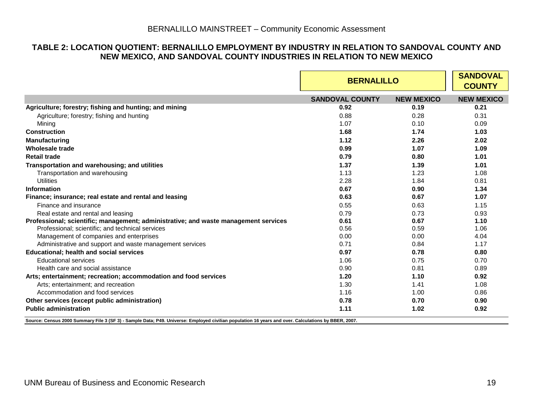#### **TABLE 2: LOCATION QUOTIENT: BERNALILLO EMPLOYMENT BY INDUSTRY IN RELATION TO SANDOVAL COUNTY AND NEW MEXICO, AND SANDOVAL COUNTY INDUSTRIES IN RELATION TO NEW MEXICO**

|                                                                                     | <b>BERNALILLO</b>      | <b>SANDOVAL</b><br><b>COUNTY</b> |                   |
|-------------------------------------------------------------------------------------|------------------------|----------------------------------|-------------------|
|                                                                                     | <b>SANDOVAL COUNTY</b> | <b>NEW MEXICO</b>                | <b>NEW MEXICO</b> |
| Agriculture; forestry; fishing and hunting; and mining                              | 0.92                   | 0.19                             | 0.21              |
| Agriculture; forestry; fishing and hunting                                          | 0.88                   | 0.28                             | 0.31              |
| Mining                                                                              | 1.07                   | 0.10                             | 0.09              |
| <b>Construction</b>                                                                 | 1.68                   | 1.74                             | 1.03              |
| <b>Manufacturing</b>                                                                | 1.12                   | 2.26                             | 2.02              |
| Wholesale trade                                                                     | 0.99                   | 1.07                             | 1.09              |
| <b>Retail trade</b>                                                                 | 0.79                   | 0.80                             | 1.01              |
| Transportation and warehousing; and utilities                                       | 1.37                   | 1.39                             | 1.01              |
| Transportation and warehousing                                                      | 1.13                   | 1.23                             | 1.08              |
| <b>Utilities</b>                                                                    | 2.28                   | 1.84                             | 0.81              |
| Information                                                                         | 0.67                   | 0.90                             | 1.34              |
| Finance; insurance; real estate and rental and leasing                              | 0.63                   | 0.67                             | 1.07              |
| Finance and insurance                                                               | 0.55                   | 0.63                             | 1.15              |
| Real estate and rental and leasing                                                  | 0.79                   | 0.73                             | 0.93              |
| Professional; scientific; management; administrative; and waste management services | 0.61                   | 0.67                             | 1.10              |
| Professional; scientific; and technical services                                    | 0.56                   | 0.59                             | 1.06              |
| Management of companies and enterprises                                             | 0.00                   | 0.00                             | 4.04              |
| Administrative and support and waste management services                            | 0.71                   | 0.84                             | 1.17              |
| <b>Educational; health and social services</b>                                      | 0.97                   | 0.78                             | 0.80              |
| <b>Educational services</b>                                                         | 1.06                   | 0.75                             | 0.70              |
| Health care and social assistance                                                   | 0.90                   | 0.81                             | 0.89              |
| Arts; entertainment; recreation; accommodation and food services                    | 1.20                   | 1.10                             | 0.92              |
| Arts; entertainment; and recreation                                                 | 1.30                   | 1.41                             | 1.08              |
| Accommodation and food services                                                     | 1.16                   | 1.00                             | 0.86              |
| Other services (except public administration)                                       | 0.78                   | 0.70                             | 0.90              |
| <b>Public administration</b>                                                        | 1.11                   | 1.02                             | 0.92              |

<span id="page-20-0"></span>**Source: Census 2000 Summary File 3 (SF 3) - Sample Data; P49. Universe: Employed civilian population 16 years and over. Calculations by BBER, 2007.**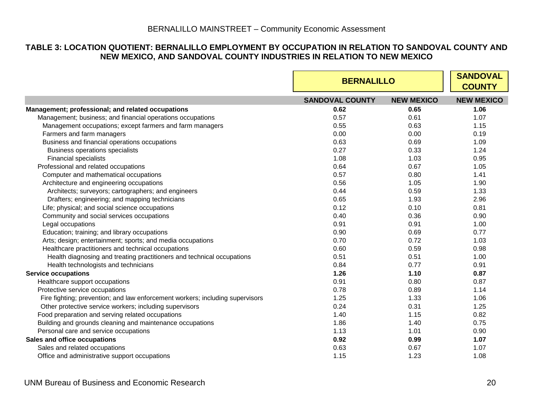#### **TABLE 3: LOCATION QUOTIENT: BERNALILLO EMPLOYMENT BY OCCUPATION IN RELATION TO SANDOVAL COUNTY AND NEW MEXICO, AND SANDOVAL COUNTY INDUSTRIES IN RELATION TO NEW MEXICO**

<span id="page-21-0"></span>

|                                                                               |                        | <b>BERNALILLO</b> |                   |  |
|-------------------------------------------------------------------------------|------------------------|-------------------|-------------------|--|
|                                                                               | <b>SANDOVAL COUNTY</b> | <b>NEW MEXICO</b> | <b>NEW MEXICO</b> |  |
| Management; professional; and related occupations                             | 0.62                   | 0.65              | 1.06              |  |
| Management; business; and financial operations occupations                    | 0.57                   | 0.61              | 1.07              |  |
| Management occupations; except farmers and farm managers                      | 0.55                   | 0.63              | 1.15              |  |
| Farmers and farm managers                                                     | 0.00                   | 0.00              | 0.19              |  |
| Business and financial operations occupations                                 | 0.63                   | 0.69              | 1.09              |  |
| <b>Business operations specialists</b>                                        | 0.27                   | 0.33              | 1.24              |  |
| <b>Financial specialists</b>                                                  | 1.08                   | 1.03              | 0.95              |  |
| Professional and related occupations                                          | 0.64                   | 0.67              | 1.05              |  |
| Computer and mathematical occupations                                         | 0.57                   | 0.80              | 1.41              |  |
| Architecture and engineering occupations                                      | 0.56                   | 1.05              | 1.90              |  |
| Architects; surveyors; cartographers; and engineers                           | 0.44                   | 0.59              | 1.33              |  |
| Drafters; engineering; and mapping technicians                                | 0.65                   | 1.93              | 2.96              |  |
| Life; physical; and social science occupations                                | 0.12                   | 0.10              | 0.81              |  |
| Community and social services occupations                                     | 0.40                   | 0.36              | 0.90              |  |
| Legal occupations                                                             | 0.91                   | 0.91              | 1.00              |  |
| Education; training; and library occupations                                  | 0.90                   | 0.69              | 0.77              |  |
| Arts; design; entertainment; sports; and media occupations                    | 0.70                   | 0.72              | 1.03              |  |
| Healthcare practitioners and technical occupations                            | 0.60                   | 0.59              | 0.98              |  |
| Health diagnosing and treating practitioners and technical occupations        | 0.51                   | 0.51              | 1.00              |  |
| Health technologists and technicians                                          | 0.84                   | 0.77              | 0.91              |  |
| <b>Service occupations</b>                                                    | 1.26                   | 1.10              | 0.87              |  |
| Healthcare support occupations                                                | 0.91                   | 0.80              | 0.87              |  |
| Protective service occupations                                                | 0.78                   | 0.89              | 1.14              |  |
| Fire fighting; prevention; and law enforcement workers; including supervisors | 1.25                   | 1.33              | 1.06              |  |
| Other protective service workers; including supervisors                       | 0.24                   | 0.31              | 1.25              |  |
| Food preparation and serving related occupations                              | 1.40                   | 1.15              | 0.82              |  |
| Building and grounds cleaning and maintenance occupations                     | 1.86                   | 1.40              | 0.75              |  |
| Personal care and service occupations                                         | 1.13                   | 1.01              | 0.90              |  |
| Sales and office occupations                                                  | 0.92                   | 0.99              | 1.07              |  |
| Sales and related occupations                                                 | 0.63                   | 0.67              | 1.07              |  |
| Office and administrative support occupations                                 | 1.15                   | 1.23              | 1.08              |  |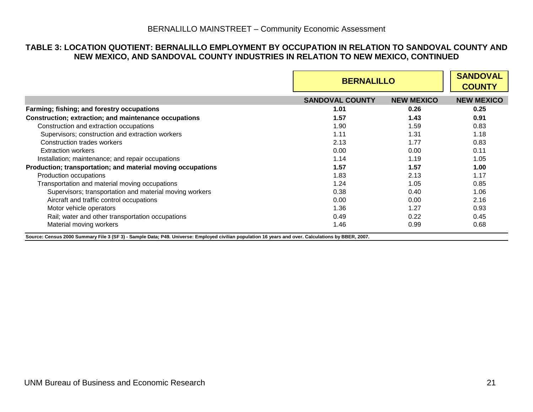#### **TABLE 3: LOCATION QUOTIENT: BERNALILLO EMPLOYMENT BY OCCUPATION IN RELATION TO SANDOVAL COUNTY AND NEW MEXICO, AND SANDOVAL COUNTY INDUSTRIES IN RELATION TO NEW MEXICO, CONTINUED**

|                                                             | <b>BERNALILLO</b>      | <b>SANDOVAL</b><br><b>COUNTY</b> |                   |
|-------------------------------------------------------------|------------------------|----------------------------------|-------------------|
|                                                             | <b>SANDOVAL COUNTY</b> | <b>NEW MEXICO</b>                | <b>NEW MEXICO</b> |
| Farming; fishing; and forestry occupations                  | 1.01                   | 0.26                             | 0.25              |
| Construction; extraction; and maintenance occupations       | 1.57                   | 1.43                             | 0.91              |
| Construction and extraction occupations                     | 1.90                   | 1.59                             | 0.83              |
| Supervisors; construction and extraction workers            | 1.11                   | 1.31                             | 1.18              |
| Construction trades workers                                 | 2.13                   | 1.77                             | 0.83              |
| <b>Extraction workers</b>                                   | 0.00                   | 0.00                             | 0.11              |
| Installation; maintenance; and repair occupations           | 1.14                   | 1.19                             | 1.05              |
| Production; transportation; and material moving occupations | 1.57                   | 1.57                             | 1.00              |
| Production occupations                                      | 1.83                   | 2.13                             | 1.17              |
| Transportation and material moving occupations              | 1.24                   | 1.05                             | 0.85              |
| Supervisors; transportation and material moving workers     | 0.38                   | 0.40                             | 1.06              |
| Aircraft and traffic control occupations                    | 0.00                   | 0.00                             | 2.16              |
| Motor vehicle operators                                     | 1.36                   | 1.27                             | 0.93              |
| Rail; water and other transportation occupations            | 0.49                   | 0.22                             | 0.45              |
| Material moving workers                                     | 1.46                   | 0.99                             | 0.68              |

**Source: Census 2000 Summary File 3 (SF 3) - Sample Data; P49. Universe: Employed civilian population 16 years and over. Calculations by BBER, 2007.**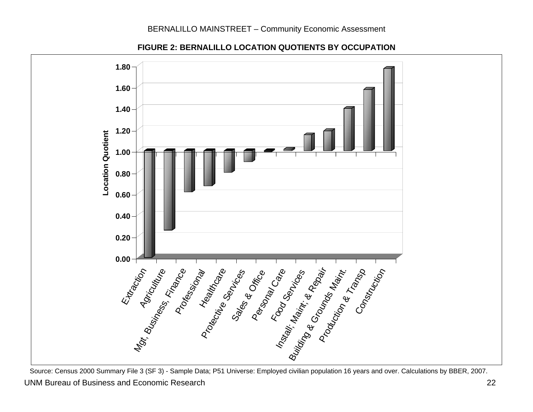

**FIGURE 2: BERNALILLO LOCATION QUOTIENTS BY OCCUPATION** 

<span id="page-23-0"></span>UNM Bureau of Business and Economic Research 22 Source: Census 2000 Summary File 3 (SF 3) - Sample Data; P51 Universe: Employed civilian population 16 years and over. Calculations by BBER, 2007.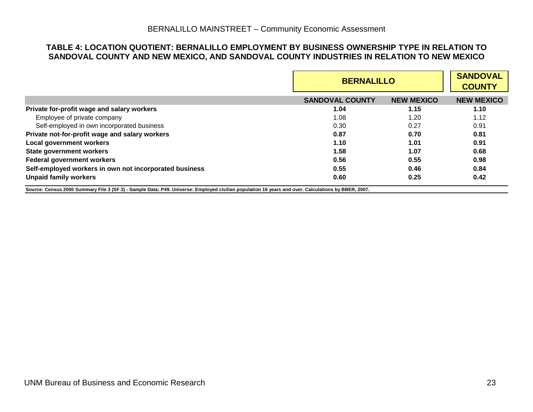#### **TABLE 4: LOCATION QUOTIENT: BERNALILLO EMPLOYMENT BY BUSINESS OWNERSHIP TYPE IN RELATION TO SANDOVAL COUNTY AND NEW MEXICO, AND SANDOVAL COUNTY INDUSTRIES IN RELATION TO NEW MEXICO**

|                                                                                                                                                     |                        | <b>BERNALILLO</b> |                   |  |
|-----------------------------------------------------------------------------------------------------------------------------------------------------|------------------------|-------------------|-------------------|--|
|                                                                                                                                                     | <b>SANDOVAL COUNTY</b> | <b>NEW MEXICO</b> | <b>NEW MEXICO</b> |  |
| Private for-profit wage and salary workers                                                                                                          | 1.04                   | 1.15              | 1.10              |  |
| Employee of private company                                                                                                                         | 1.08                   | 1.20              | 1.12              |  |
| Self-employed in own incorporated business                                                                                                          | 0.30                   | 0.27              | 0.91              |  |
| Private not-for-profit wage and salary workers                                                                                                      | 0.87                   | 0.70              | 0.81              |  |
| <b>Local government workers</b>                                                                                                                     | 1.10                   | 1.01              | 0.91              |  |
| <b>State government workers</b>                                                                                                                     | 1.58                   | 1.07              | 0.68              |  |
| <b>Federal government workers</b>                                                                                                                   | 0.56                   | 0.55              | 0.98              |  |
| Self-employed workers in own not incorporated business                                                                                              | 0.55                   | 0.46              | 0.84              |  |
| <b>Unpaid family workers</b>                                                                                                                        | 0.60                   | 0.25              | 0.42              |  |
| Source: Census 2000 Summary File 3 (SF 3) - Sample Data; P49. Universe: Employed civilian population 16 years and over. Calculations by BBER, 2007. |                        |                   |                   |  |

<span id="page-24-0"></span>UNM Bureau of Business and Economic Research 23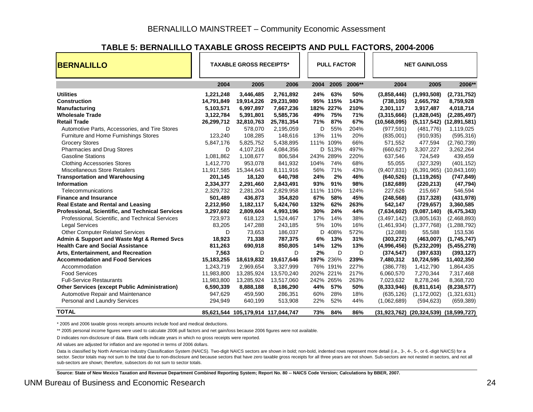#### **TABLE 5: BERNALILLO TAXABLE GROSS RECEIPTS AND PULL FACTORS, 2004-2006**

| <b>BERNALILLO</b>                                    | <b>TAXABLE GROSS RECEIPTS*</b> |                                    |            |  |      | <b>PULL FACTOR</b> |        |                | <b>NET GAIN/LOSS</b>                   |                              |
|------------------------------------------------------|--------------------------------|------------------------------------|------------|--|------|--------------------|--------|----------------|----------------------------------------|------------------------------|
|                                                      | 2004                           | 2005                               | 2006       |  | 2004 | 2005               | 2006** | 2004           | 2005                                   | 2006**                       |
| <b>Utilities</b>                                     | 1,221,248                      | 3,446,485                          | 2,761,892  |  | 24%  | 63%                | 50%    | (3,858,446)    | (1,993,508)                            | (2,731,752)                  |
| <b>Construction</b>                                  | 14,791,849                     | 19,914,226                         | 29,231,980 |  |      | 95% 115%           | 143%   | (738, 105)     | 2,665,792                              | 8,759,928                    |
| <b>Manufacturing</b>                                 | 5,103,571                      | 6,997,897                          | 7,667,236  |  | 182% | 227%               | 210%   | 2,301,117      | 3,917,487                              | 4,018,714                    |
| <b>Wholesale Trade</b>                               | 3,122,784                      | 5,391,801                          | 5,585,736  |  | 49%  | 75%                | 71%    | (3,315,666)    | (1,828,045)                            | (2, 285, 497)                |
| <b>Retail Trade</b>                                  | 26,299,712                     | 32,810,763                         | 25,781,354 |  | 71%  | 87%                | 67%    | (10, 568, 095) |                                        | (5,117,542) (12,891,581)     |
| Automotive Parts, Accessories, and Tire Stores       | D                              | 578,070                            | 2,195,059  |  | D    | 55%                | 204%   | (977, 591)     | (481, 776)                             | 1,119,025                    |
| Furniture and Home Furnishings Stores                | 123,240                        | 108,285                            | 148,616    |  | 13%  | 11%                | 20%    | (835,001)      | (910, 935)                             | (595, 316)                   |
| <b>Grocery Stores</b>                                | 5,847,176                      | 5,825,752                          | 5,438,895  |  | 111% | 109%               | 66%    | 571,552        | 477,594                                | (2,760,739)                  |
| Pharmacies and Drug Stores                           | D                              | 4,107,216                          | 4,084,356  |  |      | D 513%             | 497%   | (660, 627)     | 3,307,227                              | 3,262,264                    |
| <b>Gasoline Stations</b>                             | 1,081,862                      | 1,108,677                          | 806,584    |  | 243% | 289%               | 220%   | 637,546        | 724,549                                | 439,459                      |
| <b>Clothing Accessories Stores</b>                   | 1,412,770                      | 953,078                            | 841,932    |  | 104% | 74%                | 68%    | 55,055         | (327, 329)                             | (401, 152)                   |
| Miscellaneous Store Retailers                        | 11,917,585                     | 15,344,643                         | 8,111,916  |  | 56%  | 71%                | 43%    | (9,407,831)    |                                        | $(6,391,965)$ $(10,843,169)$ |
| <b>Transportation and Warehousing</b>                | 201,145                        | 18,120                             | 640,798    |  | 24%  | 2%                 | 46%    | (640, 526)     | (1, 119, 265)                          | (747, 849)                   |
| <b>Information</b>                                   | 2,334,377                      | 2,291,460                          | 2,843,491  |  | 93%  | 91%                | 98%    | (182, 689)     | (220, 213)                             | (47, 794)                    |
| Telecommunications                                   | 2,329,732                      | 2,281,204                          | 2,829,958  |  | 111% | 110%               | 124%   | 227,626        | 215,667                                | 546,594                      |
| <b>Finance and Insurance</b>                         | 501,489                        | 436,873                            | 354,820    |  | 67%  | 58%                | 45%    | (248, 568)     | (317, 328)                             | (431, 978)                   |
| <b>Real Estate and Rental and Leasing</b>            | 2,212,950                      | 1,182,117                          | 5,424,760  |  | 132% | 62%                | 263%   | 542,147        | (729, 657)                             | 3,360,585                    |
| Professional, Scientific, and Technical Services     | 3,297,692                      | 2,809,604                          | 4,993,196  |  | 30%  | 24%                | 44%    | (7,634,602)    | (9,087,140)                            | (6, 475, 343)                |
| Professional, Scientific, and Technical Services     | 723,973                        | 618,123                            | 1,524,467  |  | 17%  | 14%                | 38%    | (3,497,142)    | (3,805,163)                            | (2,468,893)                  |
| <b>Legal Services</b>                                | 83,205                         | 147,288                            | 243,185    |  | 5%   | 10%                | 16%    | (1,461,934)    | (1,377,768)                            | (1,288,792)                  |
| <b>Other Computer Related Services</b>               | D                              | 73,653                             | 186,037    |  | D    | 408%               | 572%   | (12,088)       | 55,588                                 | 153,536                      |
| Admin & Support and Waste Mgt & Remed Svcs           | 18,923                         | 71,338                             | 787,375    |  | 6%   | 13%                | 31%    | (303, 272)     | (463,007)                              | (1,745,747)                  |
| <b>Health Care and Social Assistance</b>             | 811,263                        | 690,918                            | 850,805    |  | 14%  | 12%                | 13%    | (4,996,456)    | (5,232,209)                            | (5,455,278)                  |
| Arts, Entertainment, and Recreation                  | 7,563                          | D                                  | D          |  | 2%   | D                  | D      | (374, 547)     | (397, 633)                             | (393, 127)                   |
| <b>Accommodation and Food Services</b>               | 15,183,255                     | 18,619,832                         | 19,617,646 |  |      | 197% 236%          | 239%   | 7,480,312      | 10,724,595                             | 11,402,350                   |
| Accommodation                                        | 1,243,719                      | 2,969,654                          | 3,327,999  |  | 76%  | 191%               | 227%   | (386, 778)     | 1,412,790                              | 1,864,435                    |
| <b>Food Services</b>                                 | 11,983,800                     | 13,285,924                         | 13,570,240 |  | 202% | 221%               | 217%   | 6,060,570      | 7,270,344                              | 7,317,468                    |
| <b>Full-Service Restaurants</b>                      | 11,983,800                     | 13,285,924                         | 13,517,060 |  | 242% | 265%               | 263%   | 7,023,632      | 8,278,246                              | 8,368,720                    |
| <b>Other Services (except Public Administration)</b> | 6,590,339                      | 8,888,188                          | 8,186,290  |  | 44%  | 57%                | 50%    | (8,333,946)    | (6,811,614)                            | (8, 238, 577)                |
| Automotive Repair and Maintenance                    | 947,629                        | 459,590                            | 286,351    |  | 60%  | 28%                | 18%    | (635, 126)     | (1, 172, 002)                          | (1,321,631)                  |
| Personal and Laundry Services                        | 294,949                        | 640,199                            | 513,908    |  | 22%  | 52%                | 44%    | (1,062,689)    | (594, 623)                             | (659, 389)                   |
| <b>TOTAL</b>                                         |                                | 85,621,544 105,179,914 117,044,747 |            |  | 73%  | 84%                | 86%    |                | (31,923,762) (20,324,539) (18,599,727) |                              |

\* 2005 and 2006 taxable gross receipts amounts include food and medical deductions.

\*\* 2005 personal income figures were used to calculate 2006 pull factors and net gain/loss because 2006 figures were not available.

D indicates non-disclosure of data. Blank cells indicate years in which no gross receipts were reported.

All values are adjusted for inflation and are reported in terms of 2006 dollars.

Data is classified by North American Industry Classification System (NAICS). Two-digit NAICS sectors are shown in bold; non-bold, indented rows represent more detail (i.e., 3-, 4-, 5-, or 6.-digit NAICS) for a sector. Sector totals may not sum to the total due to non-disclosure and because sectors that have zero taxable gross receipts for all three years are not shown. Sub-sectors are not nested in sectors, and not all sub-sectors are shown; therefore, subsectors do not sum to sector totals.

<span id="page-25-0"></span>**Source: State of New Mexico Taxation and Revenue Department Combined Reporting System; Report No. 80 -- NAICS Code Version; Calculations by BBER, 2007.**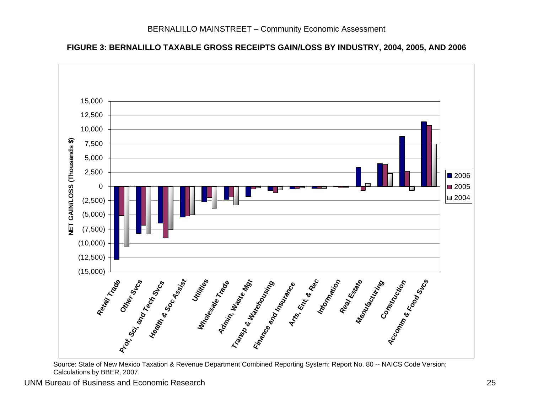**FIGURE 3: BERNALILLO TAXABLE GROSS RECEIPTS GAIN/LOSS BY INDUSTRY, 2004, 2005, AND 2006**



<span id="page-26-0"></span>Source: State of New Mexico Taxation & Revenue Department Combined Reporting System; Report No. 80 -- NAICS Code Version; Calculations by BBER, 2007.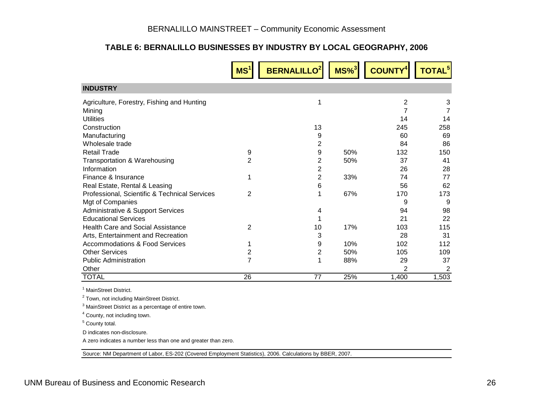#### **TABLE 6: BERNALILLO BUSINESSES BY INDUSTRY BY LOCAL GEOGRAPHY, 2006**

|                                               | MS <sup>1</sup> | <b>BERNALILLO<sup>2</sup></b> | $MS\%$ <sup>3</sup> | <b>COUNTY</b> | TOTAL <sup>5</sup> |
|-----------------------------------------------|-----------------|-------------------------------|---------------------|---------------|--------------------|
| <b>INDUSTRY</b>                               |                 |                               |                     |               |                    |
| Agriculture, Forestry, Fishing and Hunting    |                 |                               |                     | 2             | 3                  |
| Mining                                        |                 |                               |                     |               |                    |
| <b>Utilities</b>                              |                 |                               |                     | 14            | 14                 |
| Construction                                  |                 | 13                            |                     | 245           | 258                |
| Manufacturing                                 |                 | 9                             |                     | 60            | 69                 |
| Wholesale trade                               |                 | 2                             |                     | 84            | 86                 |
| <b>Retail Trade</b>                           | 9               | 9                             | 50%                 | 132           | 150                |
| Transportation & Warehousing                  | 2               | 2                             | 50%                 | 37            | 41                 |
| Information                                   |                 | 2                             |                     | 26            | 28                 |
| Finance & Insurance                           |                 | $\overline{2}$                | 33%                 | 74            | 77                 |
| Real Estate, Rental & Leasing                 |                 | 6                             |                     | 56            | 62                 |
| Professional, Scientific & Technical Services | 2               |                               | 67%                 | 170           | 173                |
| Mgt of Companies                              |                 |                               |                     | 9             | 9                  |
| <b>Administrative &amp; Support Services</b>  |                 | 4                             |                     | 94            | 98                 |
| <b>Educational Services</b>                   |                 |                               |                     | 21            | 22                 |
| Health Care and Social Assistance             | 2               | 10                            | 17%                 | 103           | 115                |
| Arts, Entertainment and Recreation            |                 | 3                             |                     | 28            | 31                 |
| <b>Accommodations &amp; Food Services</b>     |                 | 9                             | 10%                 | 102           | 112                |
| <b>Other Services</b>                         | 2               | 2                             | 50%                 | 105           | 109                |
| <b>Public Administration</b>                  | 7               |                               | 88%                 | 29            | 37                 |
| Other                                         |                 |                               |                     | 2             | 2                  |
| <b>TOTAL</b>                                  | 26              | 77                            | 25%                 | 1,400         | 1,503              |

<sup>1</sup> MainStreet District.

2 Town, not including MainStreet District.

3 MainStreet District as a percentage of entire town.

4 County, not including town.

5 County total.

D indicates non-disclosure.

A zero indicates a number less than one and greater than zero.

<span id="page-27-0"></span>Source: NM Department of Labor, ES-202 (Covered Employment Statistics), 2006. Calculations by BBER, 2007.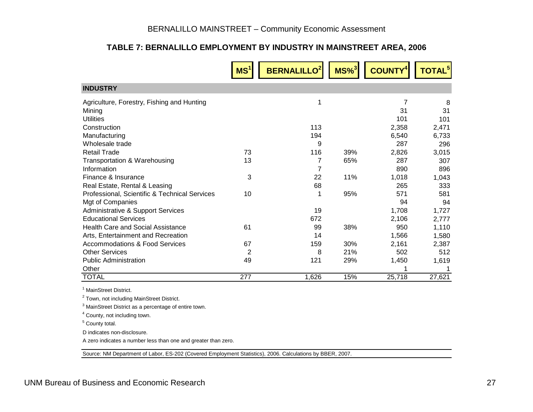#### **TABLE 7: BERNALILLO EMPLOYMENT BY INDUSTRY IN MAINSTREET AREA, 2006**

|                                               | MS <sup>1</sup> | <b>BERNALILLO</b> | $MS\%$ <sup>3</sup> | <b>COUNTY</b> | <b>TOTAL<sup>5</sup></b> |
|-----------------------------------------------|-----------------|-------------------|---------------------|---------------|--------------------------|
| <b>INDUSTRY</b>                               |                 |                   |                     |               |                          |
| Agriculture, Forestry, Fishing and Hunting    |                 | 1                 |                     | 7             | 8                        |
| Mining                                        |                 |                   |                     | 31            | 31                       |
| <b>Utilities</b>                              |                 |                   |                     | 101           | 101                      |
| Construction                                  |                 | 113               |                     | 2,358         | 2,471                    |
| Manufacturing                                 |                 | 194               |                     | 6,540         | 6,733                    |
| Wholesale trade                               |                 | 9                 |                     | 287           | 296                      |
| Retail Trade                                  | 73              | 116               | 39%                 | 2,826         | 3,015                    |
| Transportation & Warehousing                  | 13              | 7                 | 65%                 | 287           | 307                      |
| Information                                   |                 | 7                 |                     | 890           | 896                      |
| Finance & Insurance                           | 3               | 22                | 11%                 | 1,018         | 1,043                    |
| Real Estate, Rental & Leasing                 |                 | 68                |                     | 265           | 333                      |
| Professional, Scientific & Technical Services | 10              |                   | 95%                 | 571           | 581                      |
| Mgt of Companies                              |                 |                   |                     | 94            | 94                       |
| Administrative & Support Services             |                 | 19                |                     | 1,708         | 1,727                    |
| <b>Educational Services</b>                   |                 | 672               |                     | 2,106         | 2,777                    |
| <b>Health Care and Social Assistance</b>      | 61              | 99                | 38%                 | 950           | 1,110                    |
| Arts, Entertainment and Recreation            |                 | 14                |                     | 1,566         | 1,580                    |
| <b>Accommodations &amp; Food Services</b>     | 67              | 159               | 30%                 | 2,161         | 2,387                    |
| <b>Other Services</b>                         | 2               | 8                 | 21%                 | 502           | 512                      |
| <b>Public Administration</b>                  | 49              | 121               | 29%                 | 1,450         | 1,619                    |
| Other                                         |                 |                   |                     |               |                          |
| <b>TOTAL</b>                                  | 277             | 1,626             | 15%                 | 25,718        | 27,621                   |

<sup>1</sup> MainStreet District.

2 Town, not including MainStreet District.

3 MainStreet District as a percentage of entire town.

4 County, not including town.

5 County total.

D indicates non-disclosure.

A zero indicates a number less than one and greater than zero.

<span id="page-28-0"></span>Source: NM Department of Labor, ES-202 (Covered Employment Statistics), 2006. Calculations by BBER, 2007.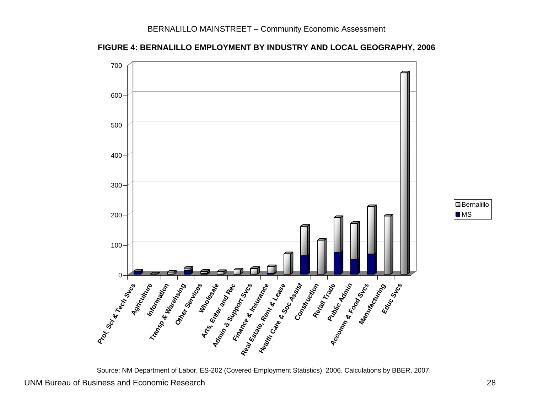



<span id="page-29-0"></span>Source: NM Department of Labor, ES-202 (Covered Employment Statistics), 2006. Calculations by BBER, 2007.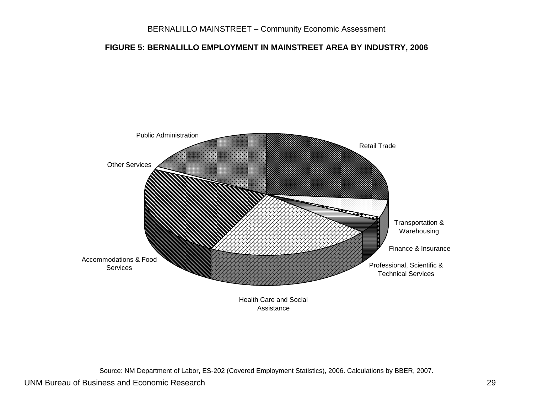#### **FIGURE 5: BERNALILLO EMPLOYMENT IN MAINSTREET AREA BY INDUSTRY, 2006**



Source: NM Department of Labor, ES-202 (Covered Employment Statistics), 2006. Calculations by BBER, 2007.

#### UNM Bureau of Business and Economic Research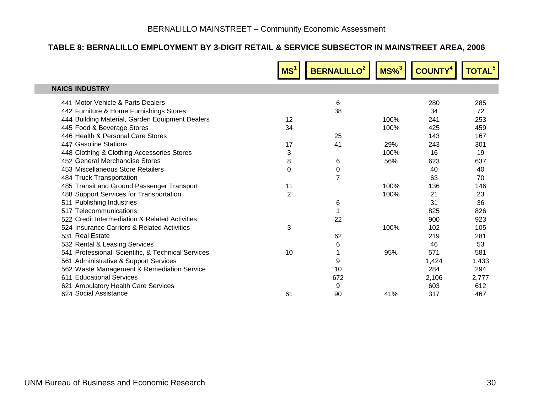#### **TABLE 8: BERNALILLO EMPLOYMENT BY 3-DIGIT RETAIL & SERVICE SUBSECTOR IN MAINSTREET AREA, 2006**

<span id="page-31-0"></span>

|                                                    | MS <sup>1</sup> | <b>BERNALILLO<sup>2</sup></b> | $MS\%$ <sup>3</sup> | <b>COUNTY<sup>4</sup></b> | TOTAL <sup>5</sup> |
|----------------------------------------------------|-----------------|-------------------------------|---------------------|---------------------------|--------------------|
| <b>NAICS INDUSTRY</b>                              |                 |                               |                     |                           |                    |
| 441 Motor Vehicle & Parts Dealers                  |                 | 6                             |                     | 280                       | 285                |
| 442 Furniture & Home Furnishings Stores            |                 | 38                            |                     | 34                        | 72                 |
| 444 Building Material, Garden Equipment Dealers    | 12              |                               | 100%                | 241                       | 253                |
| 445 Food & Beverage Stores                         | 34              |                               | 100%                | 425                       | 459                |
| 446 Health & Personal Care Stores                  |                 | 25                            |                     | 143                       | 167                |
| 447 Gasoline Stations                              | 17              | 41                            | 29%                 | 243                       | 301                |
| 448 Clothing & Clothing Accessories Stores         | 3               |                               | 100%                | 16                        | 19                 |
| 452 General Merchandise Stores                     | 8               | 6                             | 56%                 | 623                       | 637                |
| 453 Miscellaneous Store Retailers                  | $\Omega$        | 0                             |                     | 40                        | 40                 |
| 484 Truck Transportation                           |                 | 7                             |                     | 63                        | 70                 |
| 485 Transit and Ground Passenger Transport         | 11              |                               | 100%                | 136                       | 146                |
| 488 Support Services for Transportation            | $\overline{2}$  |                               | 100%                | 21                        | 23                 |
| 511 Publishing Industries                          |                 | 6                             |                     | 31                        | 36                 |
| 517 Telecommunications                             |                 | 1                             |                     | 825                       | 826                |
| 522 Credit Intermediation & Related Activities     |                 | 22                            |                     | 900                       | 923                |
| 524 Insurance Carriers & Related Activities        | 3               |                               | 100%                | 102                       | 105                |
| 531 Real Estate                                    |                 | 62                            |                     | 219                       | 281                |
| 532 Rental & Leasing Services                      |                 | 6                             |                     | 46                        | 53                 |
| 541 Professional, Scientific, & Technical Services | 10              | 1                             | 95%                 | 571                       | 581                |
| 561 Administrative & Support Services              |                 | 9                             |                     | 1,424                     | 1,433              |
| 562 Waste Management & Remediation Service         |                 | 10                            |                     | 284                       | 294                |
| 611 Educational Services                           |                 | 672                           |                     | 2,106                     | 2,777              |
| 621 Ambulatory Health Care Services                |                 | 9                             |                     | 603                       | 612                |
| 624 Social Assistance                              | 61              | 90                            | 41%                 | 317                       | 467                |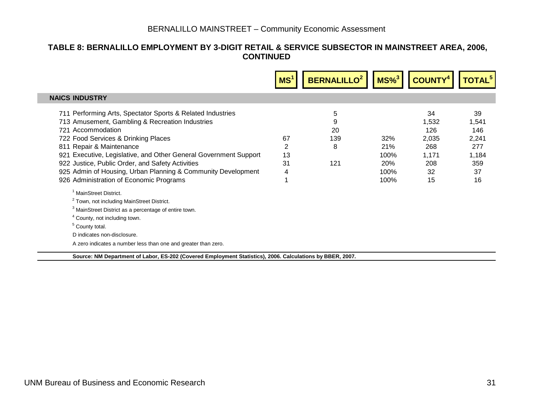#### **TABLE 8: BERNALILLO EMPLOYMENT BY 3-DIGIT RETAIL & SERVICE SUBSECTOR IN MAINSTREET AREA, 2006, CONTINUED**

| <b>NAICS INDUSTRY</b>                                                                                                                                                                                                                                                                                                                                                                                                                                                                                                                                                                                                                                                                                                                                                                                             |                                 |                                                  |                                                                |                                                                |
|-------------------------------------------------------------------------------------------------------------------------------------------------------------------------------------------------------------------------------------------------------------------------------------------------------------------------------------------------------------------------------------------------------------------------------------------------------------------------------------------------------------------------------------------------------------------------------------------------------------------------------------------------------------------------------------------------------------------------------------------------------------------------------------------------------------------|---------------------------------|--------------------------------------------------|----------------------------------------------------------------|----------------------------------------------------------------|
| 711 Performing Arts, Spectator Sports & Related Industries<br>713 Amusement, Gambling & Recreation Industries<br>721 Accommodation<br>67<br>722 Food Services & Drinking Places<br>2<br>811 Repair & Maintenance<br>13<br>921 Executive, Legislative, and Other General Government Support<br>31<br>922 Justice, Public Order, and Safety Activities<br>925 Admin of Housing, Urban Planning & Community Development<br>4<br>926 Administration of Economic Programs<br><sup>1</sup> MainStreet District.<br><sup>2</sup> Town, not including MainStreet District.<br><sup>3</sup> MainStreet District as a percentage of entire town.<br><sup>4</sup> County, not including town.<br><sup>5</sup> County total.<br>D indicates non-disclosure.<br>A zero indicates a number less than one and greater than zero. | 5<br>9<br>20<br>139<br>8<br>121 | 32%<br>21%<br>100%<br><b>20%</b><br>100%<br>100% | 34<br>1,532<br>126<br>2,035<br>268<br>1,171<br>208<br>32<br>15 | 39<br>1,541<br>146<br>2,241<br>277<br>1,184<br>359<br>37<br>16 |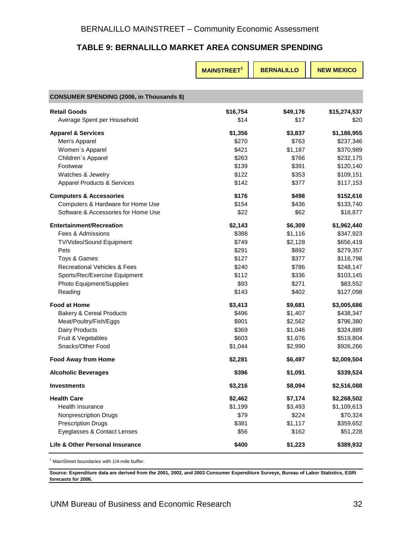#### **TABLE 9: BERNALILLO MARKET AREA CONSUMER SPENDING**

<span id="page-33-0"></span>

|                                                                                                                                                                                                                                         | <b>MAINSTREET<sup>1</sup></b>                                                             | <b>BERNALILLO</b>                                                                              | <b>NEW MEXICO</b>                                                                                                                 |
|-----------------------------------------------------------------------------------------------------------------------------------------------------------------------------------------------------------------------------------------|-------------------------------------------------------------------------------------------|------------------------------------------------------------------------------------------------|-----------------------------------------------------------------------------------------------------------------------------------|
|                                                                                                                                                                                                                                         |                                                                                           |                                                                                                |                                                                                                                                   |
| <b>CONSUMER SPENDING (2006, in Thousands \$)</b>                                                                                                                                                                                        |                                                                                           |                                                                                                |                                                                                                                                   |
| <b>Retail Goods</b><br>Average Spent per Household                                                                                                                                                                                      | \$16,754<br>\$14                                                                          | \$49,176<br>\$17                                                                               | \$15,274,537<br>\$20                                                                                                              |
| <b>Apparel &amp; Services</b><br>Men's Apparel<br>Women's Apparel<br>Children's Apparel<br>Footwear<br>Watches & Jewelry<br><b>Apparel Products &amp; Services</b>                                                                      | \$1,356<br>\$270<br>\$421<br>\$263<br>\$139<br>\$122<br>\$142                             | \$3,837<br>\$763<br>\$1,187<br>\$766<br>\$391<br>\$353<br>\$377                                | \$1,186,955<br>\$237,346<br>\$370,989<br>\$232,175<br>\$120,140<br>\$109,151<br>\$117,153                                         |
| <b>Computers &amp; Accessories</b><br>Computers & Hardware for Home Use<br>Software & Accessories for Home Use                                                                                                                          | \$176<br>\$154<br>\$22                                                                    | \$498<br>\$436<br>\$62                                                                         | \$152,616<br>\$133,740<br>\$18,877                                                                                                |
| <b>Entertainment/Recreation</b><br>Fees & Admissions<br>TV/Video/Sound Equipment<br>Pets<br>Toys & Games<br>Recreational Vehicles & Fees<br>Sports/Rec/Exercise Equipment<br>Photo Equipment/Supplies<br>Reading<br><b>Food at Home</b> | \$2,143<br>\$388<br>\$749<br>\$291<br>\$127<br>\$240<br>\$112<br>\$93<br>\$143<br>\$3,413 | \$6,309<br>\$1,116<br>\$2,128<br>\$892<br>\$377<br>\$786<br>\$336<br>\$271<br>\$402<br>\$9,681 | \$1,962,440<br>\$347,923<br>\$656,419<br>\$279,357<br>\$116,798<br>\$248,147<br>\$103,145<br>\$83,552<br>\$127,098<br>\$3,005,686 |
| <b>Bakery &amp; Cereal Products</b><br>Meat/Poultry/Fish/Eggs<br>Dairy Products<br>Fruit & Vegetables<br>Snacks/Other Food                                                                                                              | \$496<br>\$901<br>\$369<br>\$603<br>\$1,044                                               | \$1,407<br>\$2,562<br>\$1,046<br>\$1,676<br>\$2,990                                            | \$438,347<br>\$796,380<br>\$324,889<br>\$519,804<br>\$926,266                                                                     |
| <b>Food Away from Home</b>                                                                                                                                                                                                              | \$2,281                                                                                   | \$6,497                                                                                        | \$2,009,504                                                                                                                       |
| <b>Alcoholic Beverages</b>                                                                                                                                                                                                              | \$396                                                                                     | \$1,091                                                                                        | \$339,524                                                                                                                         |
| <b>Investments</b>                                                                                                                                                                                                                      | \$3,216                                                                                   | \$8,094                                                                                        | \$2,516,088                                                                                                                       |
| <b>Health Care</b><br>Health Insurance<br>Nonprescription Drugs<br><b>Prescription Drugs</b><br>Eyeglasses & Contact Lenses                                                                                                             | \$2,462<br>\$1,199<br>\$79<br>\$381<br>\$56                                               | \$7,174<br>\$3,493<br>\$224<br>\$1,117<br>\$162                                                | \$2,268,502<br>\$1,109,613<br>\$70,324<br>\$359,652<br>\$51,228                                                                   |
| Life & Other Personal Insurance                                                                                                                                                                                                         | \$400                                                                                     | \$1,223                                                                                        | \$389,932                                                                                                                         |

<sup>1</sup> MainStreet boundaries with 1/4-mile buffer.

**Source: Expenditure data are derived from the 2001, 2002, and 2003 Consumer Expenditure Surveys, Bureau of Labor Statistics, ESRI forecasts for 2006.**